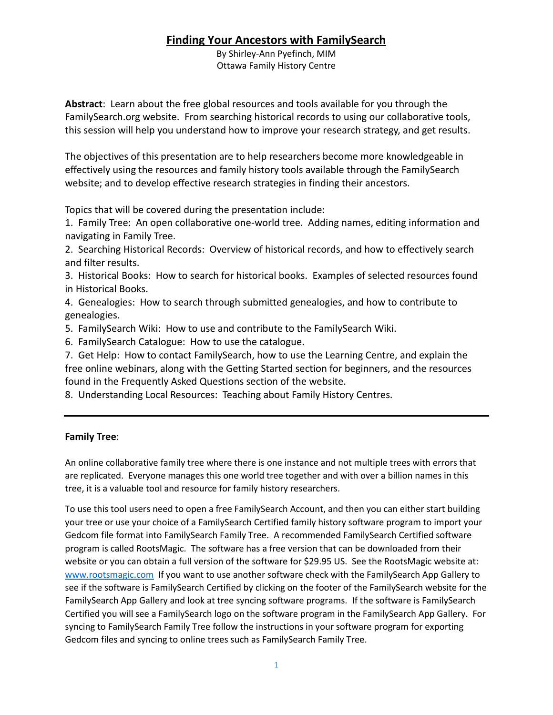By Shirley-Ann Pyefinch, MIM Ottawa Family History Centre

**Abstract**: Learn about the free global resources and tools available for you through the FamilySearch.org website. From searching historical records to using our collaborative tools, this session will help you understand how to improve your research strategy, and get results.

The objectives of this presentation are to help researchers become more knowledgeable in effectively using the resources and family history tools available through the FamilySearch website; and to develop effective research strategies in finding their ancestors.

Topics that will be covered during the presentation include:

1. Family Tree: An open collaborative one-world tree. Adding names, editing information and navigating in Family Tree.

2. Searching Historical Records: Overview of historical records, and how to effectively search and filter results.

3. Historical Books: How to search for historical books. Examples of selected resources found in Historical Books.

4. Genealogies: How to search through submitted genealogies, and how to contribute to genealogies.

5. FamilySearch Wiki: How to use and contribute to the FamilySearch Wiki.

6. FamilySearch Catalogue: How to use the catalogue.

7. Get Help: How to contact FamilySearch, how to use the Learning Centre, and explain the free online webinars, along with the Getting Started section for beginners, and the resources found in the Frequently Asked Questions section of the website.

8. Understanding Local Resources: Teaching about Family History Centres.

#### **Family Tree**:

An online collaborative family tree where there is one instance and not multiple trees with errors that are replicated. Everyone manages this one world tree together and with over a billion names in this tree, it is a valuable tool and resource for family history researchers.

To use this tool users need to open a free FamilySearch Account, and then you can either start building your tree or use your choice of a FamilySearch Certified family history software program to import your Gedcom file format into FamilySearch Family Tree. A recommended FamilySearch Certified software program is called RootsMagic. The software has a free version that can be downloaded from their website or you can obtain a full version of the software for \$29.95 US. See the RootsMagic website at: [www.rootsmagic.com](http://www.rootsmagic.com/) If you want to use another software check with the FamilySearch App Gallery to see if the software is FamilySearch Certified by clicking on the footer of the FamilySearch website for the FamilySearch App Gallery and look at tree syncing software programs. If the software is FamilySearch Certified you will see a FamilySearch logo on the software program in the FamilySearch App Gallery. For syncing to FamilySearch Family Tree follow the instructions in your software program for exporting Gedcom files and syncing to online trees such as FamilySearch Family Tree.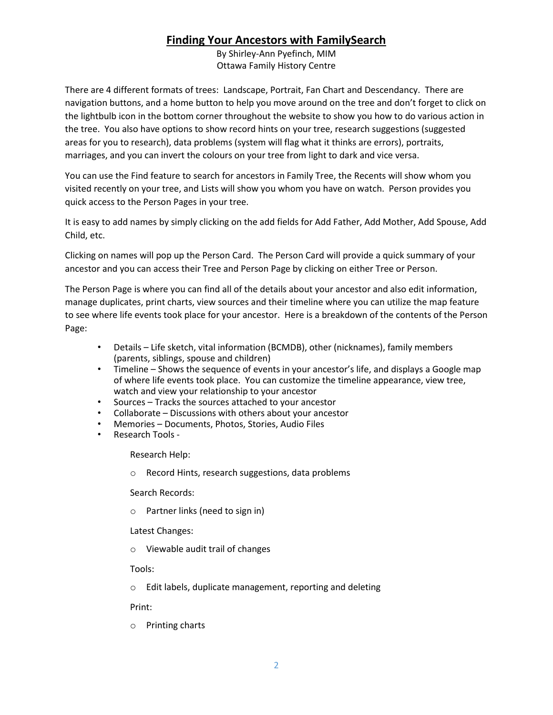By Shirley-Ann Pyefinch, MIM Ottawa Family History Centre

There are 4 different formats of trees: Landscape, Portrait, Fan Chart and Descendancy. There are navigation buttons, and a home button to help you move around on the tree and don't forget to click on the lightbulb icon in the bottom corner throughout the website to show you how to do various action in the tree. You also have options to show record hints on your tree, research suggestions (suggested areas for you to research), data problems (system will flag what it thinks are errors), portraits, marriages, and you can invert the colours on your tree from light to dark and vice versa.

You can use the Find feature to search for ancestors in Family Tree, the Recents will show whom you visited recently on your tree, and Lists will show you whom you have on watch. Person provides you quick access to the Person Pages in your tree.

It is easy to add names by simply clicking on the add fields for Add Father, Add Mother, Add Spouse, Add Child, etc.

Clicking on names will pop up the Person Card. The Person Card will provide a quick summary of your ancestor and you can access their Tree and Person Page by clicking on either Tree or Person.

The Person Page is where you can find all of the details about your ancestor and also edit information, manage duplicates, print charts, view sources and their timeline where you can utilize the map feature to see where life events took place for your ancestor. Here is a breakdown of the contents of the Person Page:

- Details Life sketch, vital information (BCMDB), other (nicknames), family members (parents, siblings, spouse and children)
- Timeline Shows the sequence of events in your ancestor's life, and displays a Google map of where life events took place. You can customize the timeline appearance, view tree, watch and view your relationship to your ancestor
- Sources Tracks the sources attached to your ancestor
- Collaborate Discussions with others about your ancestor
- Memories Documents, Photos, Stories, Audio Files
- Research Tools -

Research Help:

o Record Hints, research suggestions, data problems

Search Records:

o Partner links (need to sign in)

Latest Changes:

o Viewable audit trail of changes

Tools:

o Edit labels, duplicate management, reporting and deleting

Print:

o Printing charts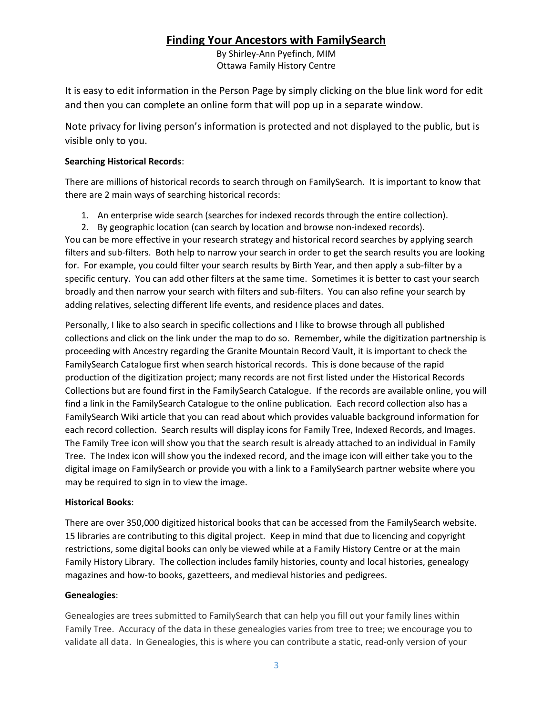By Shirley-Ann Pyefinch, MIM Ottawa Family History Centre

It is easy to edit information in the Person Page by simply clicking on the blue link word for edit and then you can complete an online form that will pop up in a separate window.

Note privacy for living person's information is protected and not displayed to the public, but is visible only to you.

#### **Searching Historical Records**:

There are millions of historical records to search through on FamilySearch. It is important to know that there are 2 main ways of searching historical records:

- 1. An enterprise wide search (searches for indexed records through the entire collection).
- 2. By geographic location (can search by location and browse non-indexed records).

You can be more effective in your research strategy and historical record searches by applying search filters and sub-filters. Both help to narrow your search in order to get the search results you are looking for. For example, you could filter your search results by Birth Year, and then apply a sub-filter by a specific century. You can add other filters at the same time. Sometimes it is better to cast your search broadly and then narrow your search with filters and sub-filters. You can also refine your search by adding relatives, selecting different life events, and residence places and dates.

Personally, I like to also search in specific collections and I like to browse through all published collections and click on the link under the map to do so. Remember, while the digitization partnership is proceeding with Ancestry regarding the Granite Mountain Record Vault, it is important to check the FamilySearch Catalogue first when search historical records. This is done because of the rapid production of the digitization project; many records are not first listed under the Historical Records Collections but are found first in the FamilySearch Catalogue. If the records are available online, you will find a link in the FamilySearch Catalogue to the online publication. Each record collection also has a FamilySearch Wiki article that you can read about which provides valuable background information for each record collection. Search results will display icons for Family Tree, Indexed Records, and Images. The Family Tree icon will show you that the search result is already attached to an individual in Family Tree. The Index icon will show you the indexed record, and the image icon will either take you to the digital image on FamilySearch or provide you with a link to a FamilySearch partner website where you may be required to sign in to view the image.

### **Historical Books**:

There are over 350,000 digitized historical books that can be accessed from the FamilySearch website. 15 libraries are contributing to this digital project. Keep in mind that due to licencing and copyright restrictions, some digital books can only be viewed while at a Family History Centre or at the main Family History Library. The collection includes family histories, county and local histories, genealogy magazines and how-to books, gazetteers, and medieval histories and pedigrees.

### **Genealogies**:

Genealogies are trees submitted to FamilySearch that can help you fill out your family lines within Family Tree. Accuracy of the data in these genealogies varies from tree to tree; we encourage you to validate all data. In Genealogies, this is where you can contribute a static, read-only version of your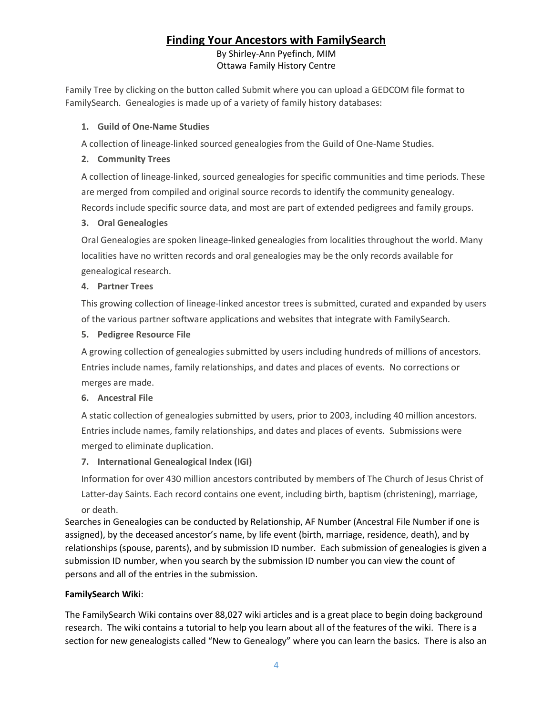#### By Shirley-Ann Pyefinch, MIM Ottawa Family History Centre

Family Tree by clicking on the button called Submit where you can upload a GEDCOM file format to FamilySearch. Genealogies is made up of a variety of family history databases:

#### **1. Guild of One-Name Studies**

A collection of lineage-linked sourced genealogies from the Guild of One-Name Studies.

### **2. Community Trees**

A collection of lineage-linked, sourced genealogies for specific communities and time periods. These are merged from compiled and original source records to identify the community genealogy. Records include specific source data, and most are part of extended pedigrees and family groups.

### **3. Oral Genealogies**

Oral Genealogies are spoken lineage-linked genealogies from localities throughout the world. Many localities have no written records and oral genealogies may be the only records available for genealogical research.

#### **4. Partner Trees**

This growing collection of lineage-linked ancestor trees is submitted, curated and expanded by users of the various partner software applications and websites that integrate with FamilySearch.

#### **5. Pedigree Resource File**

A growing collection of genealogies submitted by users including hundreds of millions of ancestors. Entries include names, family relationships, and dates and places of events. No corrections or merges are made.

#### **6. Ancestral File**

A static collection of genealogies submitted by users, prior to 2003, including 40 million ancestors. Entries include names, family relationships, and dates and places of events. Submissions were merged to eliminate duplication.

#### **7. International Genealogical Index (IGI)**

Information for over 430 million ancestors contributed by members of The Church of Jesus Christ of Latter-day Saints. Each record contains one event, including birth, baptism (christening), marriage, or death.

Searches in Genealogies can be conducted by Relationship, AF Number (Ancestral File Number if one is assigned), by the deceased ancestor's name, by life event (birth, marriage, residence, death), and by relationships (spouse, parents), and by submission ID number. Each submission of genealogies is given a submission ID number, when you search by the submission ID number you can view the count of persons and all of the entries in the submission.

### **FamilySearch Wiki**:

The FamilySearch Wiki contains over 88,027 wiki articles and is a great place to begin doing background research. The wiki contains a tutorial to help you learn about all of the features of the wiki. There is a section for new genealogists called "New to Genealogy" where you can learn the basics. There is also an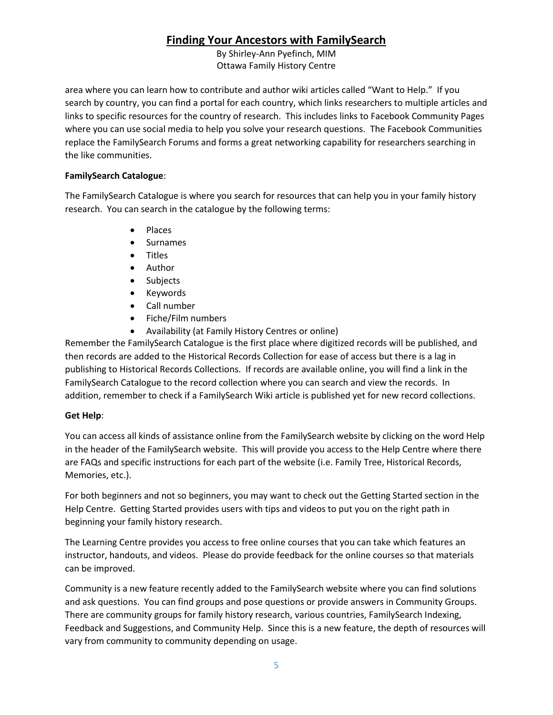By Shirley-Ann Pyefinch, MIM Ottawa Family History Centre

area where you can learn how to contribute and author wiki articles called "Want to Help." If you search by country, you can find a portal for each country, which links researchers to multiple articles and links to specific resources for the country of research. This includes links to Facebook Community Pages where you can use social media to help you solve your research questions. The Facebook Communities replace the FamilySearch Forums and forms a great networking capability for researchers searching in the like communities.

#### **FamilySearch Catalogue**:

The FamilySearch Catalogue is where you search for resources that can help you in your family history research. You can search in the catalogue by the following terms:

- Places
- Surnames
- Titles
- Author
- Subjects
- Keywords
- Call number
- Fiche/Film numbers
- Availability (at Family History Centres or online)

Remember the FamilySearch Catalogue is the first place where digitized records will be published, and then records are added to the Historical Records Collection for ease of access but there is a lag in publishing to Historical Records Collections. If records are available online, you will find a link in the FamilySearch Catalogue to the record collection where you can search and view the records. In addition, remember to check if a FamilySearch Wiki article is published yet for new record collections.

#### **Get Help**:

You can access all kinds of assistance online from the FamilySearch website by clicking on the word Help in the header of the FamilySearch website. This will provide you access to the Help Centre where there are FAQs and specific instructions for each part of the website (i.e. Family Tree, Historical Records, Memories, etc.).

For both beginners and not so beginners, you may want to check out the Getting Started section in the Help Centre. Getting Started provides users with tips and videos to put you on the right path in beginning your family history research.

The Learning Centre provides you access to free online courses that you can take which features an instructor, handouts, and videos. Please do provide feedback for the online courses so that materials can be improved.

Community is a new feature recently added to the FamilySearch website where you can find solutions and ask questions. You can find groups and pose questions or provide answers in Community Groups. There are community groups for family history research, various countries, FamilySearch Indexing, Feedback and Suggestions, and Community Help. Since this is a new feature, the depth of resources will vary from community to community depending on usage.